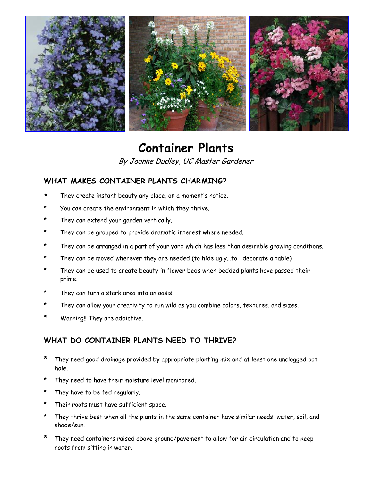

# **Container Plants**

By Joanne Dudley, UC Master Gardener

## **WHAT MAKES CONTAINER PLANTS CHARMING?**

- They create instant beauty any place, on a moment's notice.
- **\*** You can create the environment in which they thrive.
- They can extend your garden vertically.
- They can be grouped to provide dramatic interest where needed.
- **\*** They can be arranged in a part of your yard which has less than desirable growing conditions.
- They can be moved wherever they are needed (to hide ugly...to decorate a table)
- They can be used to create beauty in flower beds when bedded plants have passed their prime.
- **\*** They can turn a stark area into an oasis.
- **\*** They can allow your creativity to run wild as you combine colors, textures, and sizes.
- **\*** Warning!! They are addictive.

#### **WHAT DO CONTAINER PLANTS NEED TO THRIVE?**

- **\*** They need good drainage provided by appropriate planting mix and at least one unclogged pot hole.
- They need to have their moisture level monitored.
- **\*** They have to be fed regularly.
- Their roots must have sufficient space.
- They thrive best when all the plants in the same container have similar needs: water, soil, and shade/sun.
- **\*** They need containers raised above ground/pavement to allow for air circulation and to keep roots from sitting in water.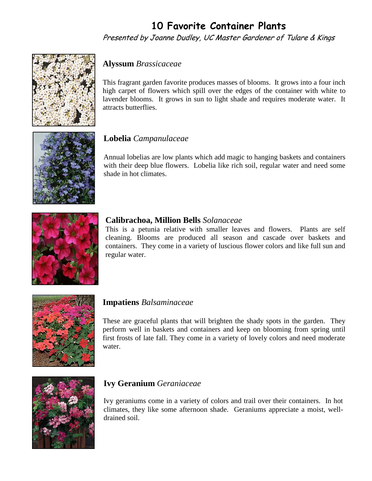## **10 Favorite Container Plants**

Presented by Joanne Dudley, UC Master Gardener of Tulare & Kings



## **Alyssum** *Brassicaceae*

This fragrant garden favorite produces masses of blooms. It grows into a four inch high carpet of flowers which spill over the edges of the container with white to lavender blooms. It grows in sun to light shade and requires moderate water. It attracts butterflies.



## **Lobelia** *Campanulaceae*

Annual lobelias are low plants which add magic to hanging baskets and containers with their deep blue flowers. Lobelia like rich soil, regular water and need some shade in hot climates.



#### **Calibrachoa, Million Bells** *Solanaceae*

This is a petunia relative with smaller leaves and flowers. Plants are self cleaning. Blooms are produced all season and cascade over baskets and containers. They come in a variety of luscious flower colors and like full sun and regular water.



#### **Impatiens** *Balsaminaceae*

These are graceful plants that will brighten the shady spots in the garden. They perform well in baskets and containers and keep on blooming from spring until first frosts of late fall. They come in a variety of lovely colors and need moderate water.



## **Ivy Geranium** *Geraniaceae*

Ivy geraniums come in a variety of colors and trail over their containers. In hot climates, they like some afternoon shade. Geraniums appreciate a moist, welldrained soil.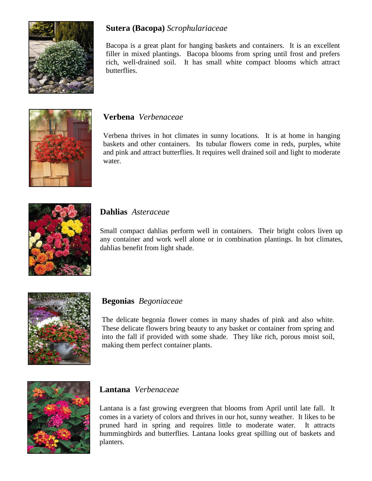

## **Sutera (Bacopa)** *Scrophulariaceae*

Bacopa is a great plant for hanging baskets and containers. It is an excellent filler in mixed plantings. Bacopa blooms from spring until frost and prefers rich, well-drained soil. It has small white compact blooms which attract butterflies.



#### **Verbena** *Verbenaceae*

Verbena thrives in hot climates in sunny locations. It is at home in hanging baskets and other containers. Its tubular flowers come in reds, purples, white and pink and attract butterflies. It requires well drained soil and light to moderate water.



#### **Dahlias** *Asteraceae*

Small compact dahlias perform well in containers. Their bright colors liven up any container and work well alone or in combination plantings. In hot climates, dahlias benefit from light shade.



#### **Begonias** *Begoniaceae*

The delicate begonia flower comes in many shades of pink and also white. These delicate flowers bring beauty to any basket or container from spring and into the fall if provided with some shade. They like rich, porous moist soil, making them perfect container plants.



#### **Lantana** *Verbenaceae*

Lantana is a fast growing evergreen that blooms from April until late fall. It comes in a variety of colors and thrives in our hot, sunny weather. It likes to be pruned hard in spring and requires little to moderate water. It attracts hummingbirds and butterflies. Lantana looks great spilling out of baskets and planters.